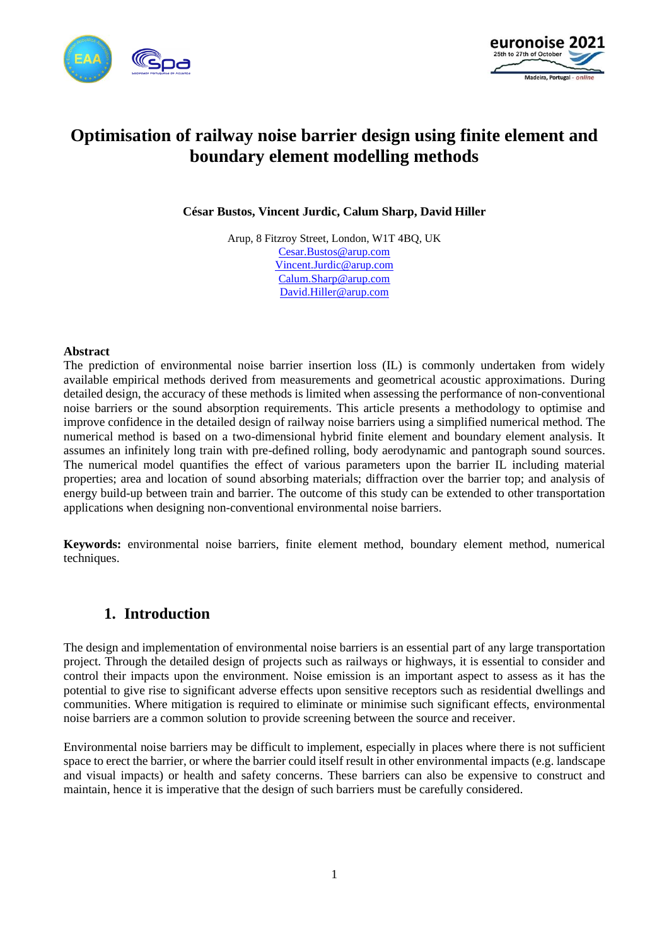



# **Optimisation of railway noise barrier design using finite element and boundary element modelling methods**

**César Bustos, Vincent Jurdic, Calum Sharp, David Hiller**

Arup, 8 Fitzroy Street, London, W1T 4BQ, UK [Cesar.Bustos@arup.com](mailto:Cesar.Bustos@arup.com) [Vincent.Jurdic@arup.com](mailto:Vincent.Jurdic@arup.com) [Calum.Sharp@arup.com](mailto:Calum.Sharp@arup.com) [David.Hiller@arup.com](mailto:David.Hiller@arup.com)

#### **Abstract**

The prediction of environmental noise barrier insertion loss (IL) is commonly undertaken from widely available empirical methods derived from measurements and geometrical acoustic approximations. During detailed design, the accuracy of these methods is limited when assessing the performance of non-conventional noise barriers or the sound absorption requirements. This article presents a methodology to optimise and improve confidence in the detailed design of railway noise barriers using a simplified numerical method. The numerical method is based on a two-dimensional hybrid finite element and boundary element analysis. It assumes an infinitely long train with pre-defined rolling, body aerodynamic and pantograph sound sources. The numerical model quantifies the effect of various parameters upon the barrier IL including material properties; area and location of sound absorbing materials; diffraction over the barrier top; and analysis of energy build-up between train and barrier. The outcome of this study can be extended to other transportation applications when designing non-conventional environmental noise barriers.

**Keywords:** environmental noise barriers, finite element method, boundary element method, numerical techniques.

### **1. Introduction**

The design and implementation of environmental noise barriers is an essential part of any large transportation project. Through the detailed design of projects such as railways or highways, it is essential to consider and control their impacts upon the environment. Noise emission is an important aspect to assess as it has the potential to give rise to significant adverse effects upon sensitive receptors such as residential dwellings and communities. Where mitigation is required to eliminate or minimise such significant effects, environmental noise barriers are a common solution to provide screening between the source and receiver.

Environmental noise barriers may be difficult to implement, especially in places where there is not sufficient space to erect the barrier, or where the barrier could itself result in other environmental impacts (e.g. landscape and visual impacts) or health and safety concerns. These barriers can also be expensive to construct and maintain, hence it is imperative that the design of such barriers must be carefully considered.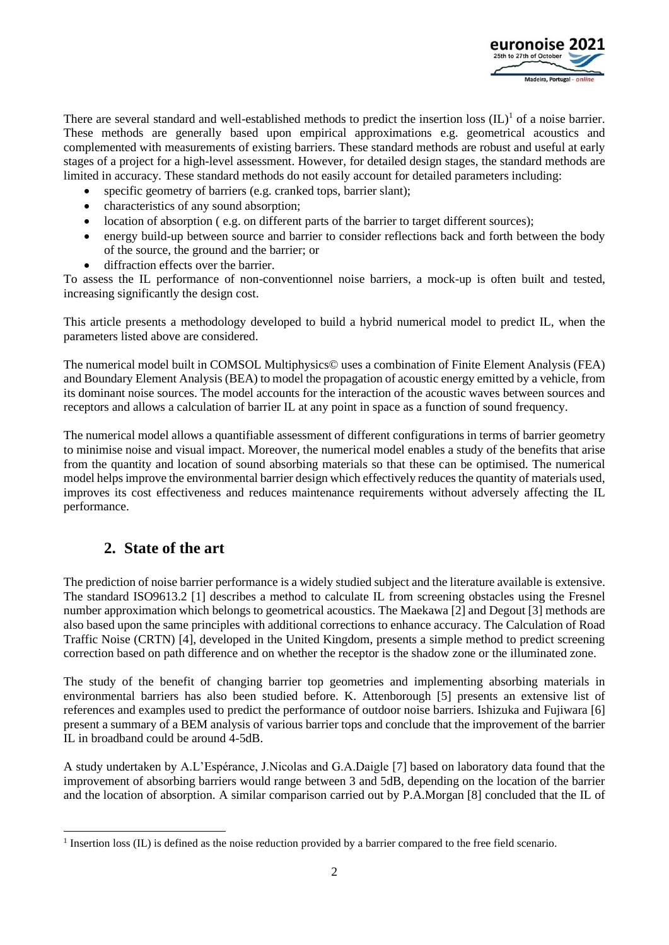

There are several standard and well-established methods to predict the insertion loss  $(IL)^{1}$  of a noise barrier. These methods are generally based upon empirical approximations e.g. geometrical acoustics and complemented with measurements of existing barriers. These standard methods are robust and useful at early stages of a project for a high-level assessment. However, for detailed design stages, the standard methods are limited in accuracy. These standard methods do not easily account for detailed parameters including:

- specific geometry of barriers (e.g. cranked tops, barrier slant);
- characteristics of any sound absorption:
- location of absorption (e.g. on different parts of the barrier to target different sources);
- energy build-up between source and barrier to consider reflections back and forth between the body of the source, the ground and the barrier; or
- diffraction effects over the barrier.

To assess the IL performance of non-conventionnel noise barriers, a mock-up is often built and tested, increasing significantly the design cost.

This article presents a methodology developed to build a hybrid numerical model to predict IL, when the parameters listed above are considered.

The numerical model built in COMSOL Multiphysics© uses a combination of Finite Element Analysis (FEA) and Boundary Element Analysis (BEA) to model the propagation of acoustic energy emitted by a vehicle, from its dominant noise sources. The model accounts for the interaction of the acoustic waves between sources and receptors and allows a calculation of barrier IL at any point in space as a function of sound frequency.

The numerical model allows a quantifiable assessment of different configurations in terms of barrier geometry to minimise noise and visual impact. Moreover, the numerical model enables a study of the benefits that arise from the quantity and location of sound absorbing materials so that these can be optimised. The numerical model helps improve the environmental barrier design which effectively reduces the quantity of materials used, improves its cost effectiveness and reduces maintenance requirements without adversely affecting the IL performance.

# **2. State of the art**

The prediction of noise barrier performance is a widely studied subject and the literature available is extensive. The standard ISO9613.2 [1] describes a method to calculate IL from screening obstacles using the Fresnel number approximation which belongs to geometrical acoustics. The Maekawa [2] and Degout [3] methods are also based upon the same principles with additional corrections to enhance accuracy. The Calculation of Road Traffic Noise (CRTN) [4], developed in the United Kingdom, presents a simple method to predict screening correction based on path difference and on whether the receptor is the shadow zone or the illuminated zone.

The study of the benefit of changing barrier top geometries and implementing absorbing materials in environmental barriers has also been studied before. K. Attenborough [5] presents an extensive list of references and examples used to predict the performance of outdoor noise barriers. Ishizuka and Fujiwara [6] present a summary of a BEM analysis of various barrier tops and conclude that the improvement of the barrier IL in broadband could be around 4-5dB.

A study undertaken by A.L'Espérance, J.Nicolas and G.A.Daigle [7] based on laboratory data found that the improvement of absorbing barriers would range between 3 and 5dB, depending on the location of the barrier and the location of absorption. A similar comparison carried out by P.A.Morgan [8] concluded that the IL of

<sup>&</sup>lt;sup>1</sup> Insertion loss (IL) is defined as the noise reduction provided by a barrier compared to the free field scenario.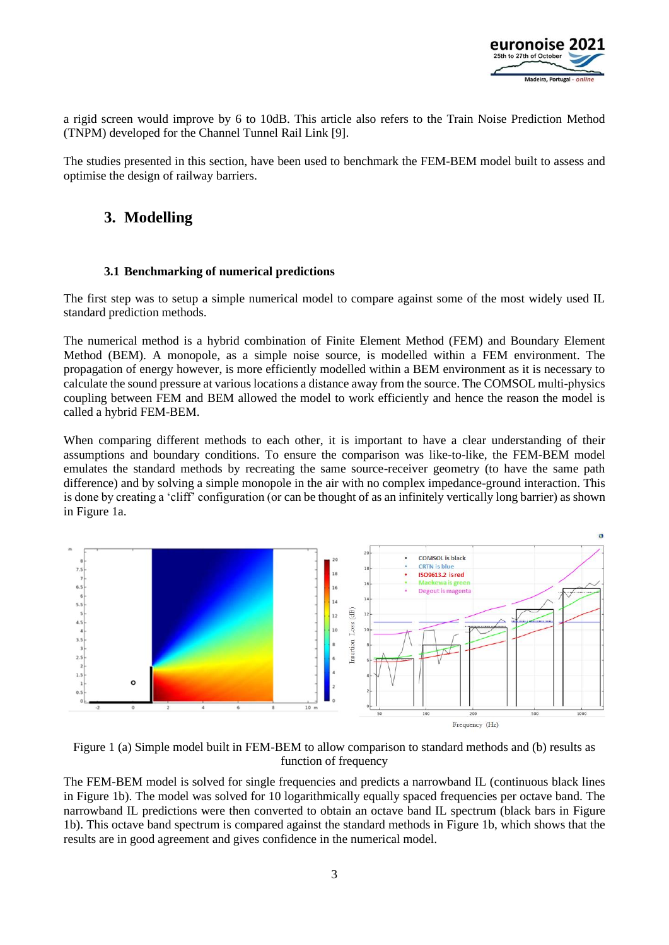

a rigid screen would improve by 6 to 10dB. This article also refers to the Train Noise Prediction Method (TNPM) developed for the Channel Tunnel Rail Link [9].

The studies presented in this section, have been used to benchmark the FEM-BEM model built to assess and optimise the design of railway barriers.

# **3. Modelling**

#### **3.1 Benchmarking of numerical predictions**

The first step was to setup a simple numerical model to compare against some of the most widely used IL standard prediction methods.

The numerical method is a hybrid combination of Finite Element Method (FEM) and Boundary Element Method (BEM). A monopole, as a simple noise source, is modelled within a FEM environment. The propagation of energy however, is more efficiently modelled within a BEM environment as it is necessary to calculate the sound pressure at various locations a distance away from the source. The COMSOL multi-physics coupling between FEM and BEM allowed the model to work efficiently and hence the reason the model is called a hybrid FEM-BEM.

When comparing different methods to each other, it is important to have a clear understanding of their assumptions and boundary conditions. To ensure the comparison was like-to-like, the FEM-BEM model emulates the standard methods by recreating the same source-receiver geometry (to have the same path difference) and by solving a simple monopole in the air with no complex impedance-ground interaction. This is done by creating a 'cliff' configuration (or can be thought of as an infinitely vertically long barrier) as shown in Figure 1a.



Figure 1 (a) Simple model built in FEM-BEM to allow comparison to standard methods and (b) results as function of frequency

The FEM-BEM model is solved for single frequencies and predicts a narrowband IL (continuous black lines in Figure 1b). The model was solved for 10 logarithmically equally spaced frequencies per octave band. The narrowband IL predictions were then converted to obtain an octave band IL spectrum (black bars in Figure 1b). This octave band spectrum is compared against the standard methods in Figure 1b, which shows that the results are in good agreement and gives confidence in the numerical model.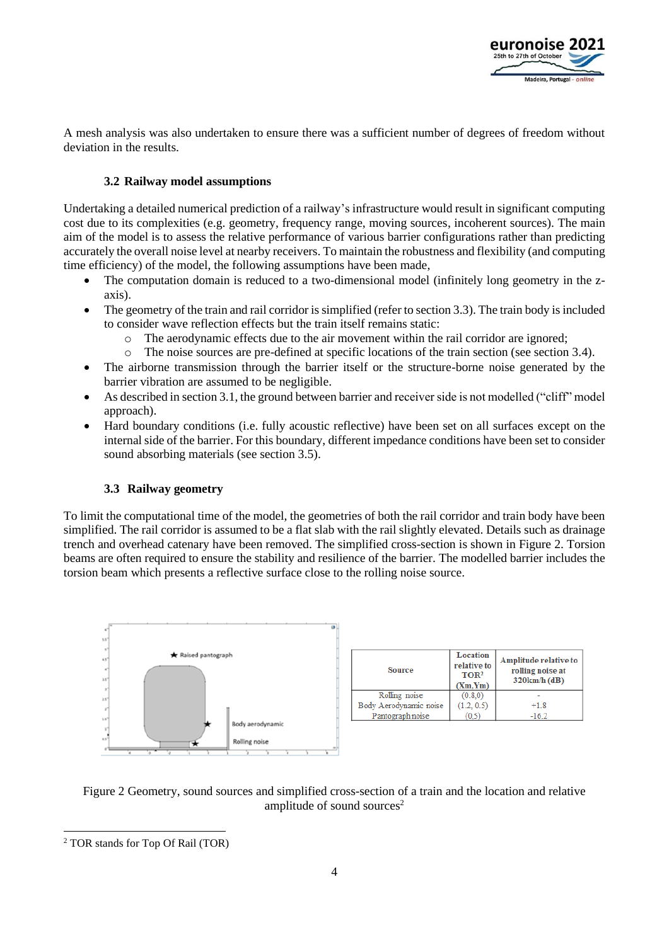

A mesh analysis was also undertaken to ensure there was a sufficient number of degrees of freedom without deviation in the results.

#### **3.2 Railway model assumptions**

Undertaking a detailed numerical prediction of a railway's infrastructure would result in significant computing cost due to its complexities (e.g. geometry, frequency range, moving sources, incoherent sources). The main aim of the model is to assess the relative performance of various barrier configurations rather than predicting accurately the overall noise level at nearby receivers. To maintain the robustness and flexibility (and computing time efficiency) of the model, the following assumptions have been made,

- The computation domain is reduced to a two-dimensional model (infinitely long geometry in the zaxis).
- The geometry of the train and rail corridor is simplified (refer to section 3.3). The train body is included to consider wave reflection effects but the train itself remains static:
	- o The aerodynamic effects due to the air movement within the rail corridor are ignored;
	- o The noise sources are pre-defined at specific locations of the train section (see section 3.4).
- The airborne transmission through the barrier itself or the structure-borne noise generated by the barrier vibration are assumed to be negligible.
- As described in section 3.1, the ground between barrier and receiver side is not modelled ("cliff" model approach).
- Hard boundary conditions (i.e. fully acoustic reflective) have been set on all surfaces except on the internal side of the barrier. For this boundary, different impedance conditions have been set to consider sound absorbing materials (see section 3.5).

#### **3.3 Railway geometry**

To limit the computational time of the model, the geometries of both the rail corridor and train body have been simplified. The rail corridor is assumed to be a flat slab with the rail slightly elevated. Details such as drainage trench and overhead catenary have been removed. The simplified cross-section is shown in [Figure 2.](#page-3-0) Torsion beams are often required to ensure the stability and resilience of the barrier. The modelled barrier includes the torsion beam which presents a reflective surface close to the rolling noise source.



| <b>Source</b>          | <b>Location</b><br>relative to<br>TOR <sup>2</sup><br>(Xm,Ym) | Amplitude relative to<br>rolling noise at<br>320km/h (dB) |
|------------------------|---------------------------------------------------------------|-----------------------------------------------------------|
| Rolling noise          | (0.8.0)                                                       |                                                           |
| Body Aerodynamic noise | (1.2, 0.5)                                                    | $+18$                                                     |
| Pantograph noise       | 0.5                                                           | $-16.2$                                                   |

<span id="page-3-0"></span>

<sup>2</sup> TOR stands for Top Of Rail (TOR)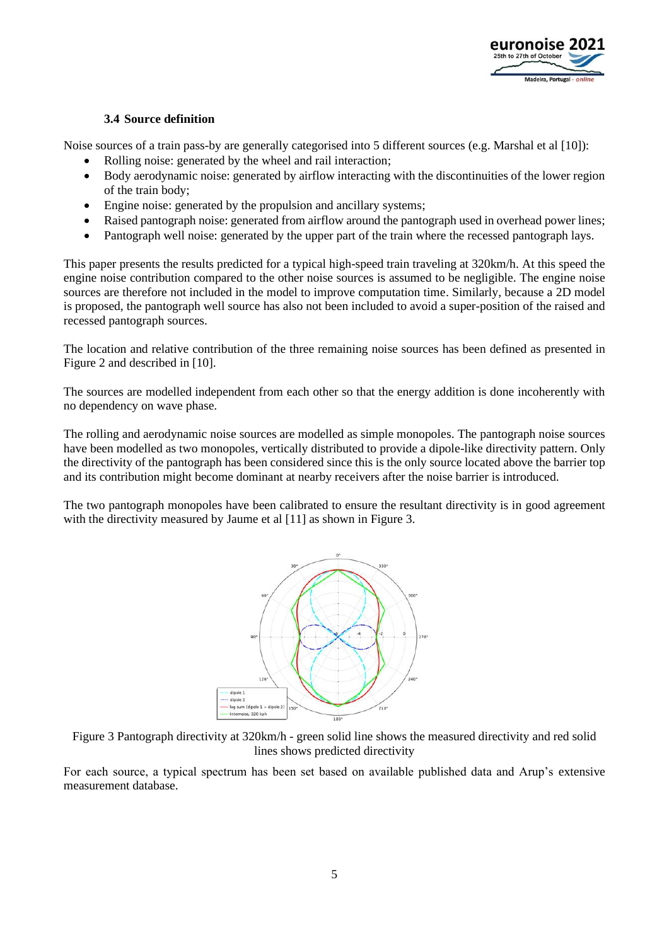

#### **3.4 Source definition**

Noise sources of a train pass-by are generally categorised into 5 different sources (e.g. Marshal et al [10]):

- Rolling noise: generated by the wheel and rail interaction;
- Body aerodynamic noise: generated by airflow interacting with the discontinuities of the lower region of the train body;
- Engine noise: generated by the propulsion and ancillary systems;
- Raised pantograph noise: generated from airflow around the pantograph used in overhead power lines;
- Pantograph well noise: generated by the upper part of the train where the recessed pantograph lays.

This paper presents the results predicted for a typical high-speed train traveling at 320km/h. At this speed the engine noise contribution compared to the other noise sources is assumed to be negligible. The engine noise sources are therefore not included in the model to improve computation time. Similarly, because a 2D model is proposed, the pantograph well source has also not been included to avoid a super-position of the raised and recessed pantograph sources.

The location and relative contribution of the three remaining noise sources has been defined as presented in [Figure 2](#page-3-0) and described in [10].

The sources are modelled independent from each other so that the energy addition is done incoherently with no dependency on wave phase.

The rolling and aerodynamic noise sources are modelled as simple monopoles. The pantograph noise sources have been modelled as two monopoles, vertically distributed to provide a dipole-like directivity pattern. Only the directivity of the pantograph has been considered since this is the only source located above the barrier top and its contribution might become dominant at nearby receivers after the noise barrier is introduced.

The two pantograph monopoles have been calibrated to ensure the resultant directivity is in good agreement with the directivity measured by Jaume et al [11] as shown in [Figure 3.](#page-4-0)



<span id="page-4-0"></span>Figure 3 Pantograph directivity at 320km/h - green solid line shows the measured directivity and red solid lines shows predicted directivity

For each source, a typical spectrum has been set based on available published data and Arup's extensive measurement database.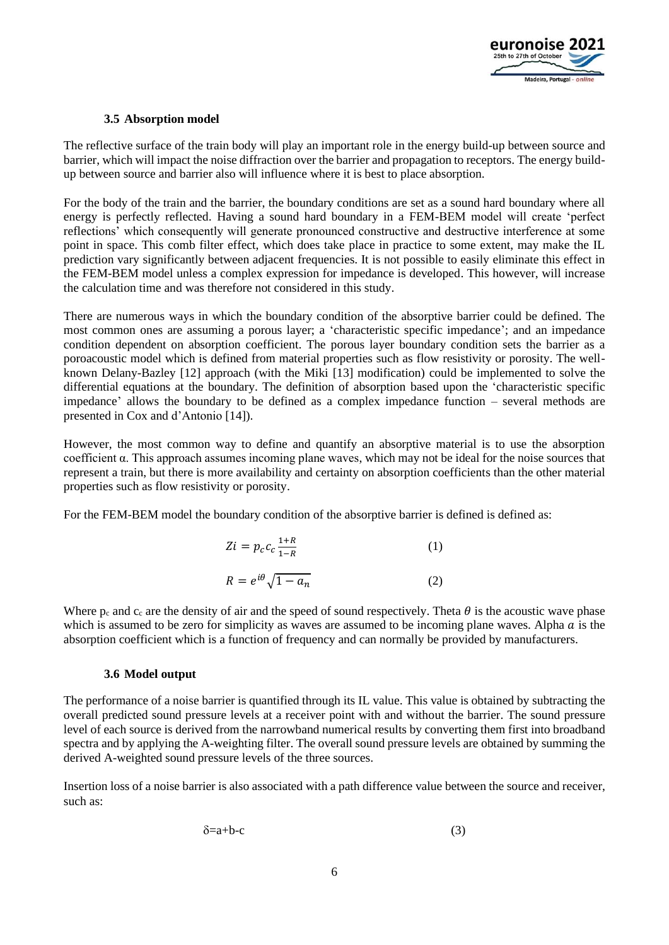

#### **3.5 Absorption model**

The reflective surface of the train body will play an important role in the energy build-up between source and barrier, which will impact the noise diffraction over the barrier and propagation to receptors. The energy buildup between source and barrier also will influence where it is best to place absorption.

For the body of the train and the barrier, the boundary conditions are set as a sound hard boundary where all energy is perfectly reflected. Having a sound hard boundary in a FEM-BEM model will create 'perfect reflections' which consequently will generate pronounced constructive and destructive interference at some point in space. This comb filter effect, which does take place in practice to some extent, may make the IL prediction vary significantly between adjacent frequencies. It is not possible to easily eliminate this effect in the FEM-BEM model unless a complex expression for impedance is developed. This however, will increase the calculation time and was therefore not considered in this study.

There are numerous ways in which the boundary condition of the absorptive barrier could be defined. The most common ones are assuming a porous layer; a 'characteristic specific impedance'; and an impedance condition dependent on absorption coefficient. The porous layer boundary condition sets the barrier as a poroacoustic model which is defined from material properties such as flow resistivity or porosity. The wellknown Delany-Bazley [12] approach (with the Miki [13] modification) could be implemented to solve the differential equations at the boundary. The definition of absorption based upon the 'characteristic specific impedance' allows the boundary to be defined as a complex impedance function – several methods are presented in Cox and d'Antonio [14]).

However, the most common way to define and quantify an absorptive material is to use the absorption coefficient α. This approach assumes incoming plane waves, which may not be ideal for the noise sources that represent a train, but there is more availability and certainty on absorption coefficients than the other material properties such as flow resistivity or porosity.

For the FEM-BEM model the boundary condition of the absorptive barrier is defined is defined as:

$$
Zi = p_c c_c \frac{1+R}{1-R}
$$
(1)  

$$
R = e^{i\theta} \sqrt{1-a_n}
$$
(2)

Where  $p_c$  and  $c_c$  are the density of air and the speed of sound respectively. Theta  $\theta$  is the acoustic wave phase which is assumed to be zero for simplicity as waves are assumed to be incoming plane waves. Alpha  $\alpha$  is the absorption coefficient which is a function of frequency and can normally be provided by manufacturers.

#### **3.6 Model output**

The performance of a noise barrier is quantified through its IL value. This value is obtained by subtracting the overall predicted sound pressure levels at a receiver point with and without the barrier. The sound pressure level of each source is derived from the narrowband numerical results by converting them first into broadband spectra and by applying the A-weighting filter. The overall sound pressure levels are obtained by summing the derived A-weighted sound pressure levels of the three sources.

Insertion loss of a noise barrier is also associated with a path difference value between the source and receiver, such as:

$$
\delta = a + b - c \tag{3}
$$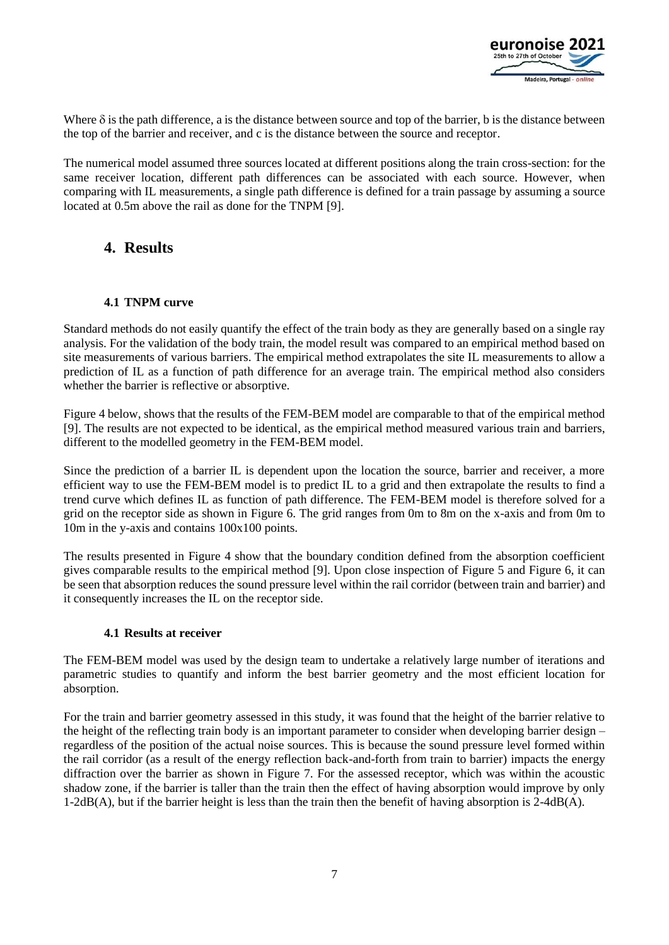

Where  $\delta$  is the path difference, a is the distance between source and top of the barrier, b is the distance between the top of the barrier and receiver, and c is the distance between the source and receptor.

The numerical model assumed three sources located at different positions along the train cross-section: for the same receiver location, different path differences can be associated with each source. However, when comparing with IL measurements, a single path difference is defined for a train passage by assuming a source located at 0.5m above the rail as done for the TNPM [9].

### **4. Results**

#### **4.1 TNPM curve**

Standard methods do not easily quantify the effect of the train body as they are generally based on a single ray analysis. For the validation of the body train, the model result was compared to an empirical method based on site measurements of various barriers. The empirical method extrapolates the site IL measurements to allow a prediction of IL as a function of path difference for an average train. The empirical method also considers whether the barrier is reflective or absorptive.

[Figure 4](#page-7-0) below, shows that the results of the FEM-BEM model are comparable to that of the empirical method [9]. The results are not expected to be identical, as the empirical method measured various train and barriers, different to the modelled geometry in the FEM-BEM model.

Since the prediction of a barrier IL is dependent upon the location the source, barrier and receiver, a more efficient way to use the FEM-BEM model is to predict IL to a grid and then extrapolate the results to find a trend curve which defines IL as function of path difference. The FEM-BEM model is therefore solved for a grid on the receptor side as shown in [Figure 6.](#page-7-1) The grid ranges from 0m to 8m on the x-axis and from 0m to 10m in the y-axis and contains 100x100 points.

The results presented in [Figure 4](#page-7-0) show that the boundary condition defined from the absorption coefficient gives comparable results to the empirical method [9]. Upon close inspection of [Figure 5](#page-7-2) and [Figure 6,](#page-7-1) it can be seen that absorption reduces the sound pressure level within the rail corridor (between train and barrier) and it consequently increases the IL on the receptor side.

#### **4.1 Results at receiver**

The FEM-BEM model was used by the design team to undertake a relatively large number of iterations and parametric studies to quantify and inform the best barrier geometry and the most efficient location for absorption.

For the train and barrier geometry assessed in this study, it was found that the height of the barrier relative to the height of the reflecting train body is an important parameter to consider when developing barrier design – regardless of the position of the actual noise sources. This is because the sound pressure level formed within the rail corridor (as a result of the energy reflection back-and-forth from train to barrier) impacts the energy diffraction over the barrier as shown in [Figure 7](#page-7-3). For the assessed receptor, which was within the acoustic shadow zone, if the barrier is taller than the train then the effect of having absorption would improve by only 1-2dB(A), but if the barrier height is less than the train then the benefit of having absorption is 2-4dB(A).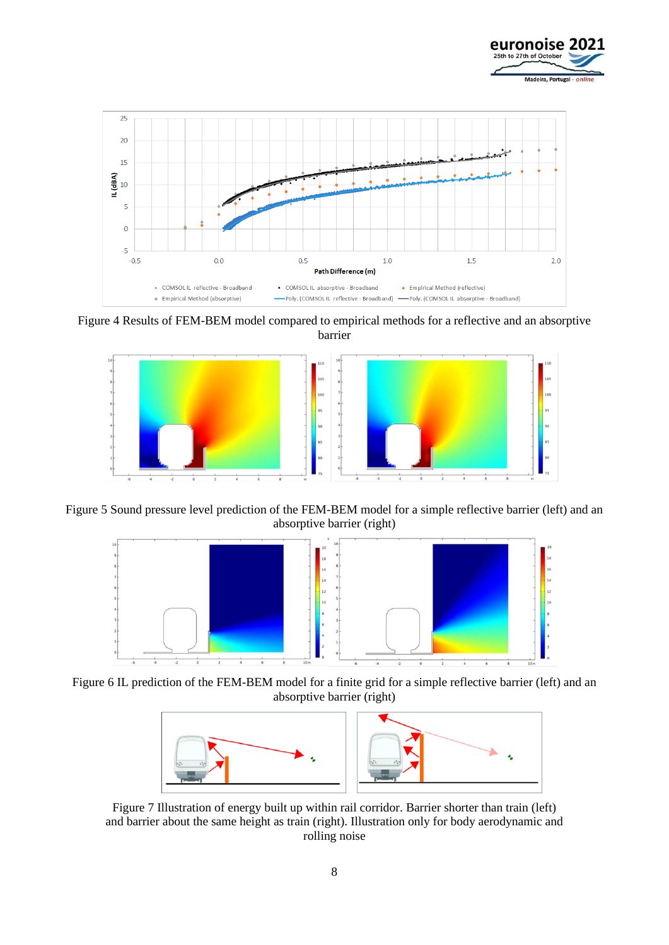



<span id="page-7-0"></span>Figure 4 Results of FEM-BEM model compared to empirical methods for a reflective and an absorptive barrier



<span id="page-7-2"></span>Figure 5 Sound pressure level prediction of the FEM-BEM model for a simple reflective barrier (left) and an absorptive barrier (right)



<span id="page-7-1"></span>Figure 6 IL prediction of the FEM-BEM model for a finite grid for a simple reflective barrier (left) and an absorptive barrier (right)



<span id="page-7-3"></span>Figure 7 Illustration of energy built up within rail corridor. Barrier shorter than train (left) and barrier about the same height as train (right). Illustration only for body aerodynamic and rolling noise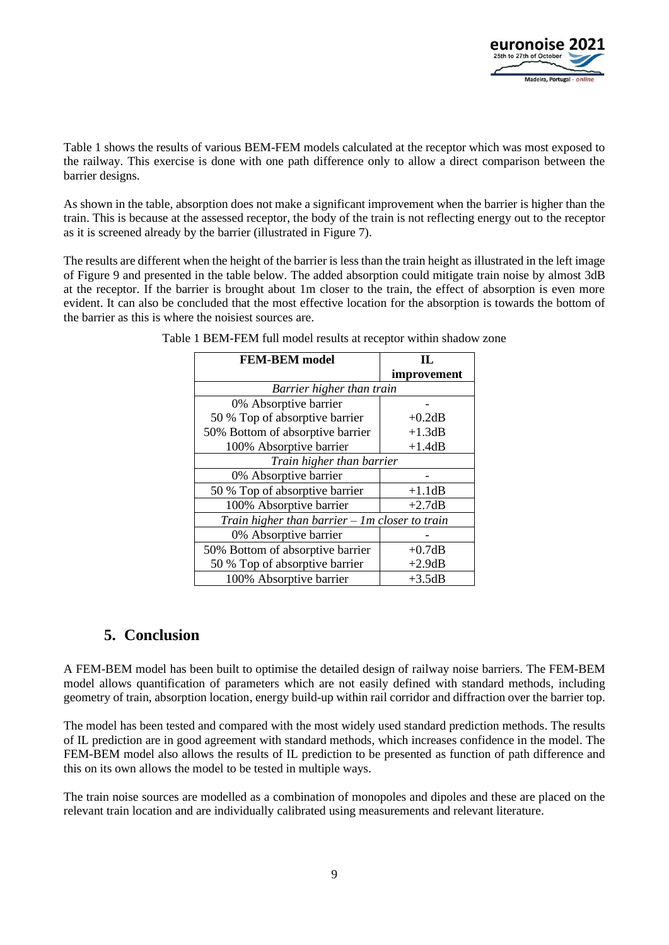

[Table 1](#page-8-0) shows the results of various BEM-FEM models calculated at the receptor which was most exposed to the railway. This exercise is done with one path difference only to allow a direct comparison between the barrier designs.

As shown in the table, absorption does not make a significant improvement when the barrier is higher than the train. This is because at the assessed receptor, the body of the train is not reflecting energy out to the receptor as it is screened already by the barrier (illustrated in [Figure 7](#page-7-3)).

<span id="page-8-0"></span>The results are different when the height of the barrier is less than the train height as illustrated in the left image of Figure 9 and presented in the table below. The added absorption could mitigate train noise by almost 3dB at the receptor. If the barrier is brought about 1m closer to the train, the effect of absorption is even more evident. It can also be concluded that the most effective location for the absorption is towards the bottom of the barrier as this is where the noisiest sources are.

| <b>FEM-BEM</b> model                             | Н.          |  |
|--------------------------------------------------|-------------|--|
|                                                  | improvement |  |
| Barrier higher than train                        |             |  |
| 0% Absorptive barrier                            |             |  |
| 50 % Top of absorptive barrier                   | $+0.2dB$    |  |
| 50% Bottom of absorptive barrier                 | $+1.3dB$    |  |
| 100% Absorptive barrier                          | $+1.4dB$    |  |
| Train higher than barrier                        |             |  |
| 0% Absorptive barrier                            |             |  |
| 50 % Top of absorptive barrier                   | $+1.1dB$    |  |
| 100% Absorptive barrier                          | $+2.7dB$    |  |
| Train higher than barrier $-$ 1m closer to train |             |  |
| 0% Absorptive barrier                            |             |  |
| 50% Bottom of absorptive barrier                 | $+0.7dB$    |  |
| 50 % Top of absorptive barrier                   | $+2.9dB$    |  |
| 100% Absorptive barrier                          | $+3.5dB$    |  |

Table 1 BEM-FEM full model results at receptor within shadow zone

### **5. Conclusion**

A FEM-BEM model has been built to optimise the detailed design of railway noise barriers. The FEM-BEM model allows quantification of parameters which are not easily defined with standard methods, including geometry of train, absorption location, energy build-up within rail corridor and diffraction over the barrier top.

The model has been tested and compared with the most widely used standard prediction methods. The results of IL prediction are in good agreement with standard methods, which increases confidence in the model. The FEM-BEM model also allows the results of IL prediction to be presented as function of path difference and this on its own allows the model to be tested in multiple ways.

The train noise sources are modelled as a combination of monopoles and dipoles and these are placed on the relevant train location and are individually calibrated using measurements and relevant literature.